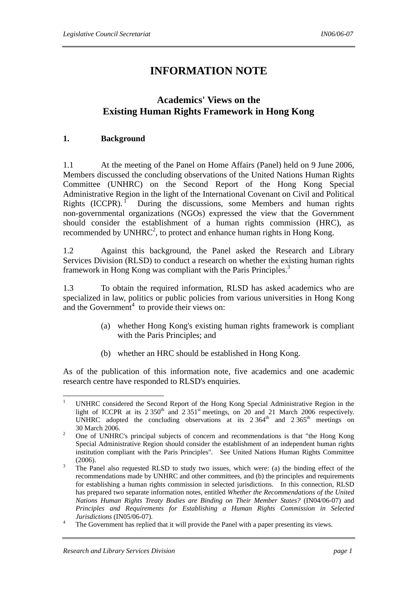# **INFORMATION NOTE**

# **Academics' Views on the Existing Human Rights Framework in Hong Kong**

#### **1. Background**

1.1 At the meeting of the Panel on Home Affairs (Panel) held on 9 June 2006, Members discussed the concluding observations of the United Nations Human Rights Committee (UNHRC) on the Second Report of the Hong Kong Special Administrative Region in the light of the International Covenant on Civil and Political Rights  $(ICCPR).$ <sup>1</sup> During the discussions, some Members and human rights non-governmental organizations (NGOs) expressed the view that the Government should consider the establishment of a human rights commission (HRC), as recommended by UNHRC<sup>2</sup>, to protect and enhance human rights in Hong Kong.

1.2 Against this background, the Panel asked the Research and Library Services Division (RLSD) to conduct a research on whether the existing human rights framework in Hong Kong was compliant with the Paris Principles.<sup>3</sup>

1.3 To obtain the required information, RLSD has asked academics who are specialized in law, politics or public policies from various universities in Hong Kong and the Government<sup>4</sup> to provide their views on:

- (a) whether Hong Kong's existing human rights framework is compliant with the Paris Principles; and
- (b) whether an HRC should be established in Hong Kong.

As of the publication of this information note, five academics and one academic research centre have responded to RLSD's enquiries.

 $\frac{1}{1}$  UNHRC considered the Second Report of the Hong Kong Special Administrative Region in the light of ICCPR at its  $2.350<sup>th</sup>$  and  $2.351<sup>st</sup>$  meetings, on  $20<sup>o</sup>$  and 21 March 2006 respectively. UNHRC adopted the concluding observations at its  $2.364<sup>th</sup>$  and  $2.365<sup>th</sup>$  meetings on  $30$  March 2006.

One of UNHRC's principal subjects of concern and recommendations is that "the Hong Kong Special Administrative Region should consider the establishment of an independent human rights institution compliant with the Paris Principles"*.* See United Nations Human Rights Committee  $(2006).$ 

The Panel also requested RLSD to study two issues, which were: (a) the binding effect of the recommendations made by UNHRC and other committees, and (b) the principles and requirements for establishing a human rights commission in selected jurisdictions. In this connection, RLSD has prepared two separate information notes, entitled *Whether the Recommendations of the United Nations Human Rights Treaty Bodies are Binding on Their Member States?* (IN04/06-07) and *Principles and Requirements for Establishing a Human Rights Commission in Selected Jurisdictions* (IN05/06-07).

The Government has replied that it will provide the Panel with a paper presenting its views.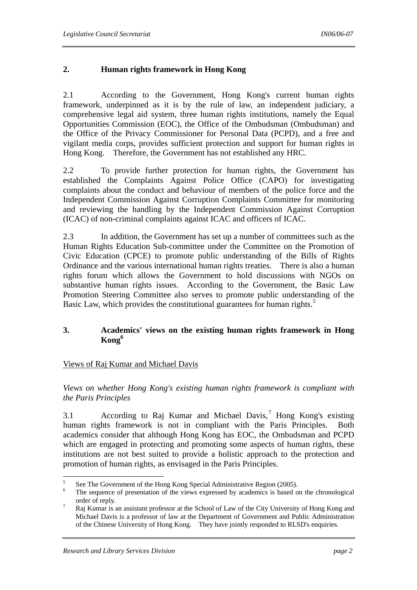# **2. Human rights framework in Hong Kong**

2.1 According to the Government, Hong Kong's current human rights framework, underpinned as it is by the rule of law, an independent judiciary, a comprehensive legal aid system, three human rights institutions, namely the Equal Opportunities Commission (EOC), the Office of the Ombudsman (Ombudsman) and the Office of the Privacy Commissioner for Personal Data (PCPD), and a free and vigilant media corps, provides sufficient protection and support for human rights in Hong Kong. Therefore, the Government has not established any HRC.

2.2 To provide further protection for human rights, the Government has established the Complaints Against Police Office (CAPO) for investigating complaints about the conduct and behaviour of members of the police force and the Independent Commission Against Corruption Complaints Committee for monitoring and reviewing the handling by the Independent Commission Against Corruption (ICAC) of non-criminal complaints against ICAC and officers of ICAC.

2.3 In addition, the Government has set up a number of committees such as the Human Rights Education Sub-committee under the Committee on the Promotion of Civic Education (CPCE) to promote public understanding of the Bills of Rights Ordinance and the various international human rights treaties. There is also a human rights forum which allows the Government to hold discussions with NGOs on substantive human rights issues. According to the Government, the Basic Law Promotion Steering Committee also serves to promote public understanding of the Basic Law, which provides the constitutional guarantees for human rights.<sup>5</sup>

# **3. Academics' views on the existing human rights framework in Hong Kong<sup>6</sup>**

# Views of Raj Kumar and Michael Davis

*Views on whether Hong Kong's existing human rights framework is compliant with the Paris Principles* 

3.1 • According to Raj Kumar and Michael Davis,<sup>7</sup> Hong Kong's existing human rights framework is not in compliant with the Paris Principles. Both academics consider that although Hong Kong has EOC, the Ombudsman and PCPD which are engaged in protecting and promoting some aspects of human rights, these institutions are not best suited to provide a holistic approach to the protection and promotion of human rights, as envisaged in the Paris Principles.

 5 See The Government of the Hong Kong Special Administrative Region (2005).

<sup>6</sup> The sequence of presentation of the views expressed by academics is based on the chronological order of reply.

Raj Kumar is an assistant professor at the School of Law of the City University of Hong Kong and Michael Davis is a professor of law at the Department of Government and Public Administration of the Chinese University of Hong Kong. They have jointly responded to RLSD's enquiries.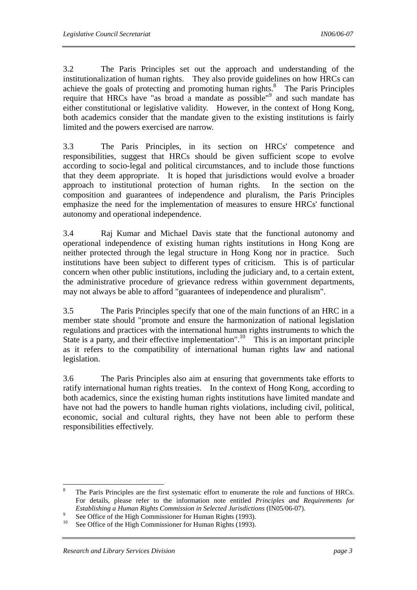3.2 The Paris Principles set out the approach and understanding of the institutionalization of human rights. They also provide guidelines on how HRCs can achieve the goals of protecting and promoting human rights. $\delta$  The Paris Principles require that HRCs have "as broad a mandate as possible"<sup>9</sup> and such mandate has either constitutional or legislative validity. However, in the context of Hong Kong, both academics consider that the mandate given to the existing institutions is fairly limited and the powers exercised are narrow.

3.3 The Paris Principles, in its section on HRCs' competence and responsibilities, suggest that HRCs should be given sufficient scope to evolve according to socio-legal and political circumstances, and to include those functions that they deem appropriate. It is hoped that jurisdictions would evolve a broader approach to institutional protection of human rights. In the section on the composition and guarantees of independence and pluralism, the Paris Principles emphasize the need for the implementation of measures to ensure HRCs' functional autonomy and operational independence.

3.4 Raj Kumar and Michael Davis state that the functional autonomy and operational independence of existing human rights institutions in Hong Kong are neither protected through the legal structure in Hong Kong nor in practice. Such institutions have been subject to different types of criticism. This is of particular concern when other public institutions, including the judiciary and, to a certain extent, the administrative procedure of grievance redress within government departments, may not always be able to afford "guarantees of independence and pluralism".

3.5 The Paris Principles specify that one of the main functions of an HRC in a member state should "promote and ensure the harmonization of national legislation regulations and practices with the international human rights instruments to which the State is a party, and their effective implementation".<sup>10</sup> This is an important principle as it refers to the compatibility of international human rights law and national legislation.

3.6 The Paris Principles also aim at ensuring that governments take efforts to ratify international human rights treaties. In the context of Hong Kong, according to both academics, since the existing human rights institutions have limited mandate and have not had the powers to handle human rights violations, including civil, political, economic, social and cultural rights, they have not been able to perform these responsibilities effectively.

 8 The Paris Principles are the first systematic effort to enumerate the role and functions of HRCs. For details, please refer to the information note entitled *Principles and Requirements for Establishing a Human Rights Commission in Selected Jurisdictions (IN05/06-07).* 

<sup>&</sup>lt;sup>9</sup> See Office of the High Commissioner for Human Rights (1993).<br><sup>10</sup> See Office of the High Commissioner for Human Rights (1993).

See Office of the High Commissioner for Human Rights (1993).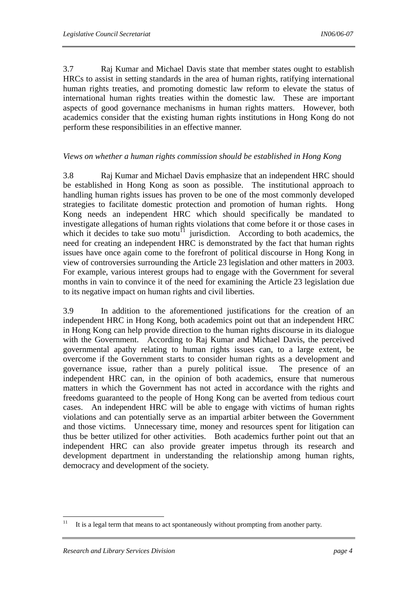3.7 Raj Kumar and Michael Davis state that member states ought to establish HRCs to assist in setting standards in the area of human rights, ratifying international human rights treaties, and promoting domestic law reform to elevate the status of international human rights treaties within the domestic law. These are important aspects of good governance mechanisms in human rights matters. However, both academics consider that the existing human rights institutions in Hong Kong do not perform these responsibilities in an effective manner.

#### *Views on whether a human rights commission should be established in Hong Kong*

3.8 Raj Kumar and Michael Davis emphasize that an independent HRC should be established in Hong Kong as soon as possible. The institutional approach to handling human rights issues has proven to be one of the most commonly developed strategies to facilitate domestic protection and promotion of human rights. Hong Kong needs an independent HRC which should specifically be mandated to investigate allegations of human rights violations that come before it or those cases in which it decides to take suo motu<sup> $\overline{1}$ </sup> jurisdiction. According to both academics, the need for creating an independent HRC is demonstrated by the fact that human rights issues have once again come to the forefront of political discourse in Hong Kong in view of controversies surrounding the Article 23 legislation and other matters in 2003. For example, various interest groups had to engage with the Government for several months in vain to convince it of the need for examining the Article 23 legislation due to its negative impact on human rights and civil liberties.

3.9 In addition to the aforementioned justifications for the creation of an independent HRC in Hong Kong, both academics point out that an independent HRC in Hong Kong can help provide direction to the human rights discourse in its dialogue with the Government. According to Raj Kumar and Michael Davis, the perceived governmental apathy relating to human rights issues can, to a large extent, be overcome if the Government starts to consider human rights as a development and governance issue, rather than a purely political issue. The presence of an independent HRC can, in the opinion of both academics, ensure that numerous matters in which the Government has not acted in accordance with the rights and freedoms guaranteed to the people of Hong Kong can be averted from tedious court cases. An independent HRC will be able to engage with victims of human rights violations and can potentially serve as an impartial arbiter between the Government and those victims. Unnecessary time, money and resources spent for litigation can thus be better utilized for other activities. Both academics further point out that an independent HRC can also provide greater impetus through its research and development department in understanding the relationship among human rights, democracy and development of the society.

 $11\,$ It is a legal term that means to act spontaneously without prompting from another party.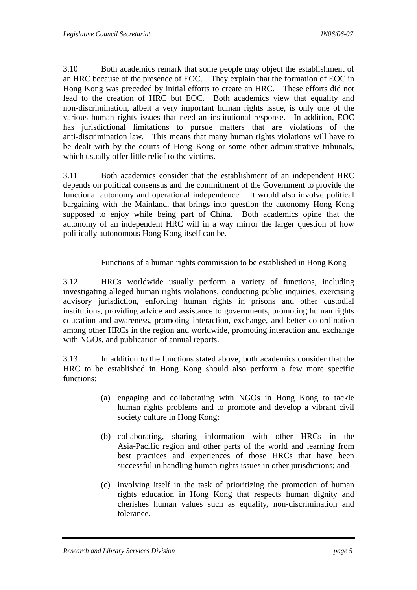3.10 Both academics remark that some people may object the establishment of an HRC because of the presence of EOC. They explain that the formation of EOC in Hong Kong was preceded by initial efforts to create an HRC. These efforts did not lead to the creation of HRC but EOC. Both academics view that equality and non-discrimination, albeit a very important human rights issue, is only one of the various human rights issues that need an institutional response. In addition, EOC has jurisdictional limitations to pursue matters that are violations of the anti-discrimination law. This means that many human rights violations will have to be dealt with by the courts of Hong Kong or some other administrative tribunals, which usually offer little relief to the victims.

3.11 Both academics consider that the establishment of an independent HRC depends on political consensus and the commitment of the Government to provide the functional autonomy and operational independence. It would also involve political bargaining with the Mainland, that brings into question the autonomy Hong Kong supposed to enjoy while being part of China. Both academics opine that the autonomy of an independent HRC will in a way mirror the larger question of how politically autonomous Hong Kong itself can be.

Functions of a human rights commission to be established in Hong Kong

3.12 HRCs worldwide usually perform a variety of functions, including investigating alleged human rights violations, conducting public inquiries, exercising advisory jurisdiction, enforcing human rights in prisons and other custodial institutions, providing advice and assistance to governments, promoting human rights education and awareness, promoting interaction, exchange, and better co-ordination among other HRCs in the region and worldwide, promoting interaction and exchange with NGOs, and publication of annual reports.

3.13 In addition to the functions stated above, both academics consider that the HRC to be established in Hong Kong should also perform a few more specific functions:

- (a) engaging and collaborating with NGOs in Hong Kong to tackle human rights problems and to promote and develop a vibrant civil society culture in Hong Kong;
- (b) collaborating, sharing information with other HRCs in the Asia-Pacific region and other parts of the world and learning from best practices and experiences of those HRCs that have been successful in handling human rights issues in other jurisdictions; and
- (c) involving itself in the task of prioritizing the promotion of human rights education in Hong Kong that respects human dignity and cherishes human values such as equality, non-discrimination and tolerance.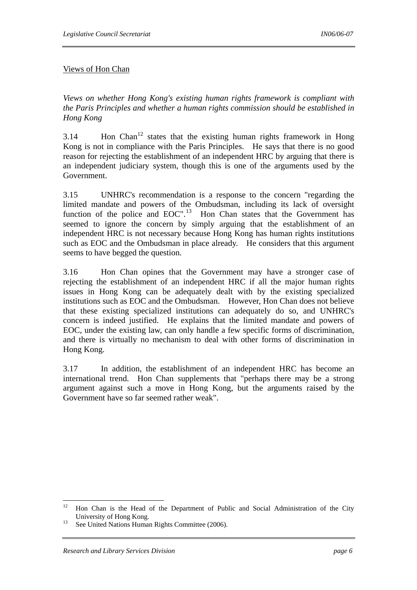# Views of Hon Chan

*Views on whether Hong Kong's existing human rights framework is compliant with the Paris Principles and whether a human rights commission should be established in Hong Kong* 

 $3.14$  Hon Chan<sup>12</sup> states that the existing human rights framework in Hong Kong is not in compliance with the Paris Principles. He says that there is no good reason for rejecting the establishment of an independent HRC by arguing that there is an independent judiciary system, though this is one of the arguments used by the Government.

3.15 UNHRC's recommendation is a response to the concern "regarding the limited mandate and powers of the Ombudsman, including its lack of oversight function of the police and  $EOC''$ .<sup>13</sup> Hon Chan states that the Government has seemed to ignore the concern by simply arguing that the establishment of an independent HRC is not necessary because Hong Kong has human rights institutions such as EOC and the Ombudsman in place already. He considers that this argument seems to have begged the question.

3.16 Hon Chan opines that the Government may have a stronger case of rejecting the establishment of an independent HRC if all the major human rights issues in Hong Kong can be adequately dealt with by the existing specialized institutions such as EOC and the Ombudsman. However, Hon Chan does not believe that these existing specialized institutions can adequately do so, and UNHRC's concern is indeed justified. He explains that the limited mandate and powers of EOC, under the existing law, can only handle a few specific forms of discrimination, and there is virtually no mechanism to deal with other forms of discrimination in Hong Kong.

3.17 In addition, the establishment of an independent HRC has become an international trend. Hon Chan supplements that "perhaps there may be a strong argument against such a move in Hong Kong, but the arguments raised by the Government have so far seemed rather weak".

 $12$ 12 Hon Chan is the Head of the Department of Public and Social Administration of the City University of Hong Kong.<br><sup>13</sup> See United Nations Human Rights Committee (2006).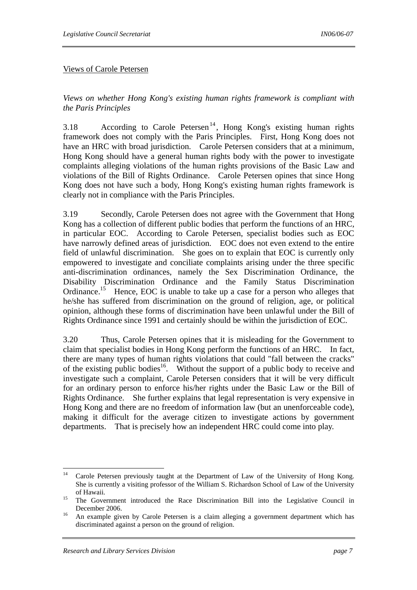#### Views of Carole Petersen

*Views on whether Hong Kong's existing human rights framework is compliant with the Paris Principles*

3.18 According to Carole Petersen<sup>14</sup>, Hong Kong's existing human rights framework does not comply with the Paris Principles. First, Hong Kong does not have an HRC with broad jurisdiction. Carole Petersen considers that at a minimum, Hong Kong should have a general human rights body with the power to investigate complaints alleging violations of the human rights provisions of the Basic Law and violations of the Bill of Rights Ordinance. Carole Petersen opines that since Hong Kong does not have such a body, Hong Kong's existing human rights framework is clearly not in compliance with the Paris Principles.

3.19 Secondly, Carole Petersen does not agree with the Government that Hong Kong has a collection of different public bodies that perform the functions of an HRC, in particular EOC. According to Carole Petersen, specialist bodies such as EOC have narrowly defined areas of jurisdiction. EOC does not even extend to the entire field of unlawful discrimination. She goes on to explain that EOC is currently only empowered to investigate and conciliate complaints arising under the three specific anti-discrimination ordinances, namely the Sex Discrimination Ordinance, the Disability Discrimination Ordinance and the Family Status Discrimination Ordinance.15 Hence, EOC is unable to take up a case for a person who alleges that he/she has suffered from discrimination on the ground of religion, age, or political opinion, although these forms of discrimination have been unlawful under the Bill of Rights Ordinance since 1991 and certainly should be within the jurisdiction of EOC.

3.20 Thus, Carole Petersen opines that it is misleading for the Government to claim that specialist bodies in Hong Kong perform the functions of an HRC. In fact, there are many types of human rights violations that could "fall between the cracks" of the existing public bodies<sup>16</sup>. Without the support of a public body to receive and investigate such a complaint, Carole Petersen considers that it will be very difficult for an ordinary person to enforce his/her rights under the Basic Law or the Bill of Rights Ordinance. She further explains that legal representation is very expensive in Hong Kong and there are no freedom of information law (but an unenforceable code), making it difficult for the average citizen to investigate actions by government departments. That is precisely how an independent HRC could come into play.

 $14$ Carole Petersen previously taught at the Department of Law of the University of Hong Kong. She is currently a visiting professor of the William S. Richardson School of Law of the University of Hawaii. 15 The Government introduced the Race Discrimination Bill into the Legislative Council in

December 2006.<br><sup>16</sup> An example given by Carole Petersen is a claim alleging a government department which has discriminated against a person on the ground of religion.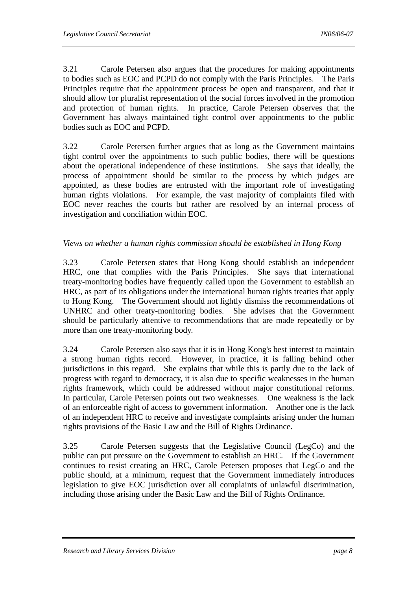3.21 Carole Petersen also argues that the procedures for making appointments to bodies such as EOC and PCPD do not comply with the Paris Principles. The Paris Principles require that the appointment process be open and transparent, and that it should allow for pluralist representation of the social forces involved in the promotion and protection of human rights. In practice, Carole Petersen observes that the Government has always maintained tight control over appointments to the public bodies such as EOC and PCPD.

3.22 Carole Petersen further argues that as long as the Government maintains tight control over the appointments to such public bodies, there will be questions about the operational independence of these institutions. She says that ideally, the process of appointment should be similar to the process by which judges are appointed, as these bodies are entrusted with the important role of investigating human rights violations. For example, the vast majority of complaints filed with EOC never reaches the courts but rather are resolved by an internal process of investigation and conciliation within EOC.

# *Views on whether a human rights commission should be established in Hong Kong*

3.23 Carole Petersen states that Hong Kong should establish an independent HRC, one that complies with the Paris Principles. She says that international treaty-monitoring bodies have frequently called upon the Government to establish an HRC, as part of its obligations under the international human rights treaties that apply to Hong Kong. The Government should not lightly dismiss the recommendations of UNHRC and other treaty-monitoring bodies. She advises that the Government should be particularly attentive to recommendations that are made repeatedly or by more than one treaty-monitoring body.

3.24 Carole Petersen also says that it is in Hong Kong's best interest to maintain a strong human rights record. However, in practice, it is falling behind other jurisdictions in this regard. She explains that while this is partly due to the lack of progress with regard to democracy, it is also due to specific weaknesses in the human rights framework, which could be addressed without major constitutional reforms. In particular, Carole Petersen points out two weaknesses. One weakness is the lack of an enforceable right of access to government information. Another one is the lack of an independent HRC to receive and investigate complaints arising under the human rights provisions of the Basic Law and the Bill of Rights Ordinance.

3.25 Carole Petersen suggests that the Legislative Council (LegCo) and the public can put pressure on the Government to establish an HRC. If the Government continues to resist creating an HRC, Carole Petersen proposes that LegCo and the public should, at a minimum, request that the Government immediately introduces legislation to give EOC jurisdiction over all complaints of unlawful discrimination, including those arising under the Basic Law and the Bill of Rights Ordinance.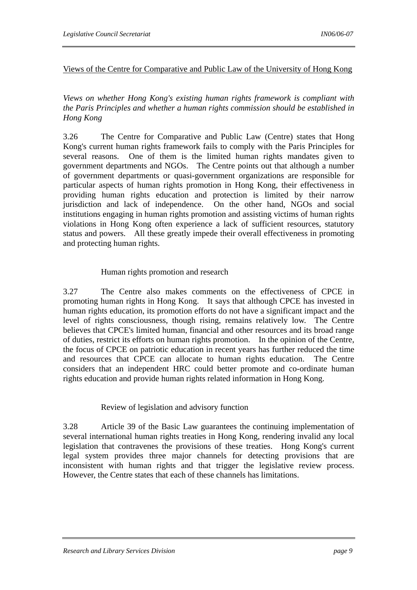# Views of the Centre for Comparative and Public Law of the University of Hong Kong

*Views on whether Hong Kong's existing human rights framework is compliant with the Paris Principles and whether a human rights commission should be established in Hong Kong* 

3.26 The Centre for Comparative and Public Law (Centre) states that Hong Kong's current human rights framework fails to comply with the Paris Principles for several reasons. One of them is the limited human rights mandates given to government departments and NGOs. The Centre points out that although a number of government departments or quasi-government organizations are responsible for particular aspects of human rights promotion in Hong Kong, their effectiveness in providing human rights education and protection is limited by their narrow jurisdiction and lack of independence. On the other hand, NGOs and social institutions engaging in human rights promotion and assisting victims of human rights violations in Hong Kong often experience a lack of sufficient resources, statutory status and powers. All these greatly impede their overall effectiveness in promoting and protecting human rights.

# Human rights promotion and research

3.27 The Centre also makes comments on the effectiveness of CPCE in promoting human rights in Hong Kong. It says that although CPCE has invested in human rights education, its promotion efforts do not have a significant impact and the level of rights consciousness, though rising, remains relatively low. The Centre believes that CPCE's limited human, financial and other resources and its broad range of duties, restrict its efforts on human rights promotion. In the opinion of the Centre, the focus of CPCE on patriotic education in recent years has further reduced the time and resources that CPCE can allocate to human rights education. The Centre considers that an independent HRC could better promote and co-ordinate human rights education and provide human rights related information in Hong Kong.

#### Review of legislation and advisory function

3.28 Article 39 of the Basic Law guarantees the continuing implementation of several international human rights treaties in Hong Kong, rendering invalid any local legislation that contravenes the provisions of these treaties. Hong Kong's current legal system provides three major channels for detecting provisions that are inconsistent with human rights and that trigger the legislative review process. However, the Centre states that each of these channels has limitations.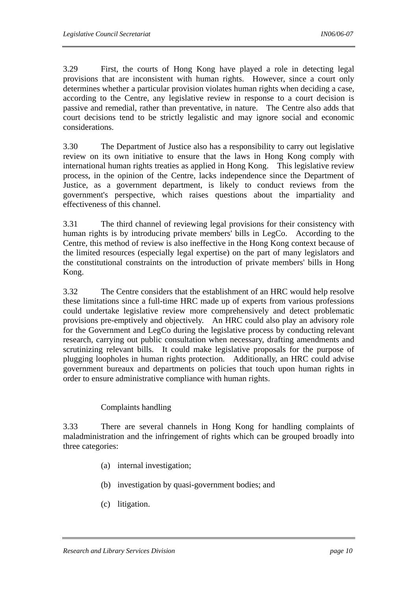3.29 First, the courts of Hong Kong have played a role in detecting legal provisions that are inconsistent with human rights. However, since a court only determines whether a particular provision violates human rights when deciding a case, according to the Centre, any legislative review in response to a court decision is passive and remedial, rather than preventative, in nature. The Centre also adds that court decisions tend to be strictly legalistic and may ignore social and economic considerations.

3.30 The Department of Justice also has a responsibility to carry out legislative review on its own initiative to ensure that the laws in Hong Kong comply with international human rights treaties as applied in Hong Kong. This legislative review process, in the opinion of the Centre, lacks independence since the Department of Justice, as a government department, is likely to conduct reviews from the government's perspective, which raises questions about the impartiality and effectiveness of this channel.

3.31 The third channel of reviewing legal provisions for their consistency with human rights is by introducing private members' bills in LegCo. According to the Centre, this method of review is also ineffective in the Hong Kong context because of the limited resources (especially legal expertise) on the part of many legislators and the constitutional constraints on the introduction of private members' bills in Hong Kong.

3.32 The Centre considers that the establishment of an HRC would help resolve these limitations since a full-time HRC made up of experts from various professions could undertake legislative review more comprehensively and detect problematic provisions pre-emptively and objectively. An HRC could also play an advisory role for the Government and LegCo during the legislative process by conducting relevant research, carrying out public consultation when necessary, drafting amendments and scrutinizing relevant bills. It could make legislative proposals for the purpose of plugging loopholes in human rights protection. Additionally, an HRC could advise government bureaux and departments on policies that touch upon human rights in order to ensure administrative compliance with human rights.

# Complaints handling

3.33 There are several channels in Hong Kong for handling complaints of maladministration and the infringement of rights which can be grouped broadly into three categories:

- (a) internal investigation;
- (b) investigation by quasi-government bodies; and
- (c) litigation.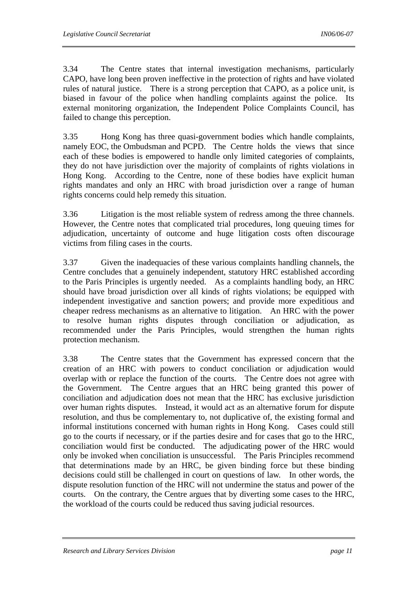3.34 The Centre states that internal investigation mechanisms, particularly CAPO, have long been proven ineffective in the protection of rights and have violated rules of natural justice. There is a strong perception that CAPO, as a police unit, is biased in favour of the police when handling complaints against the police. Its external monitoring organization, the Independent Police Complaints Council, has failed to change this perception.

3.35 Hong Kong has three quasi-government bodies which handle complaints, namely EOC, the Ombudsman and PCPD. The Centre holds the views that since each of these bodies is empowered to handle only limited categories of complaints, they do not have jurisdiction over the majority of complaints of rights violations in Hong Kong. According to the Centre, none of these bodies have explicit human rights mandates and only an HRC with broad jurisdiction over a range of human rights concerns could help remedy this situation.

3.36 Litigation is the most reliable system of redress among the three channels. However, the Centre notes that complicated trial procedures, long queuing times for adjudication, uncertainty of outcome and huge litigation costs often discourage victims from filing cases in the courts.

3.37 Given the inadequacies of these various complaints handling channels, the Centre concludes that a genuinely independent, statutory HRC established according to the Paris Principles is urgently needed. As a complaints handling body, an HRC should have broad jurisdiction over all kinds of rights violations; be equipped with independent investigative and sanction powers; and provide more expeditious and cheaper redress mechanisms as an alternative to litigation. An HRC with the power to resolve human rights disputes through conciliation or adjudication, as recommended under the Paris Principles, would strengthen the human rights protection mechanism.

3.38 The Centre states that the Government has expressed concern that the creation of an HRC with powers to conduct conciliation or adjudication would overlap with or replace the function of the courts. The Centre does not agree with the Government. The Centre argues that an HRC being granted this power of conciliation and adjudication does not mean that the HRC has exclusive jurisdiction over human rights disputes. Instead, it would act as an alternative forum for dispute resolution, and thus be complementary to, not duplicative of, the existing formal and informal institutions concerned with human rights in Hong Kong. Cases could still go to the courts if necessary, or if the parties desire and for cases that go to the HRC, conciliation would first be conducted. The adjudicating power of the HRC would only be invoked when conciliation is unsuccessful. The Paris Principles recommend that determinations made by an HRC, be given binding force but these binding decisions could still be challenged in court on questions of law. In other words, the dispute resolution function of the HRC will not undermine the status and power of the courts. On the contrary, the Centre argues that by diverting some cases to the HRC, the workload of the courts could be reduced thus saving judicial resources.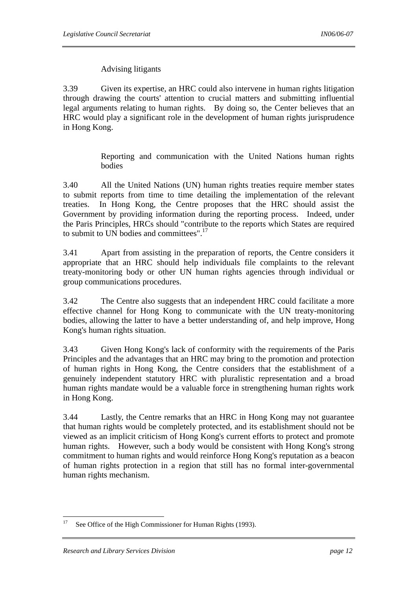# Advising litigants

3.39 Given its expertise, an HRC could also intervene in human rights litigation through drawing the courts' attention to crucial matters and submitting influential legal arguments relating to human rights. By doing so, the Center believes that an HRC would play a significant role in the development of human rights jurisprudence in Hong Kong.

> Reporting and communication with the United Nations human rights bodies

3.40 All the United Nations (UN) human rights treaties require member states to submit reports from time to time detailing the implementation of the relevant treaties. In Hong Kong, the Centre proposes that the HRC should assist the Government by providing information during the reporting process. Indeed, under the Paris Principles, HRCs should "contribute to the reports which States are required to submit to UN bodies and committees".17

3.41 Apart from assisting in the preparation of reports, the Centre considers it appropriate that an HRC should help individuals file complaints to the relevant treaty-monitoring body or other UN human rights agencies through individual or group communications procedures.

3.42 The Centre also suggests that an independent HRC could facilitate a more effective channel for Hong Kong to communicate with the UN treaty-monitoring bodies, allowing the latter to have a better understanding of, and help improve, Hong Kong's human rights situation.

3.43 Given Hong Kong's lack of conformity with the requirements of the Paris Principles and the advantages that an HRC may bring to the promotion and protection of human rights in Hong Kong, the Centre considers that the establishment of a genuinely independent statutory HRC with pluralistic representation and a broad human rights mandate would be a valuable force in strengthening human rights work in Hong Kong.

3.44 Lastly, the Centre remarks that an HRC in Hong Kong may not guarantee that human rights would be completely protected, and its establishment should not be viewed as an implicit criticism of Hong Kong's current efforts to protect and promote human rights. However, such a body would be consistent with Hong Kong's strong commitment to human rights and would reinforce Hong Kong's reputation as a beacon of human rights protection in a region that still has no formal inter-governmental human rights mechanism.

<sup>17</sup> See Office of the High Commissioner for Human Rights (1993).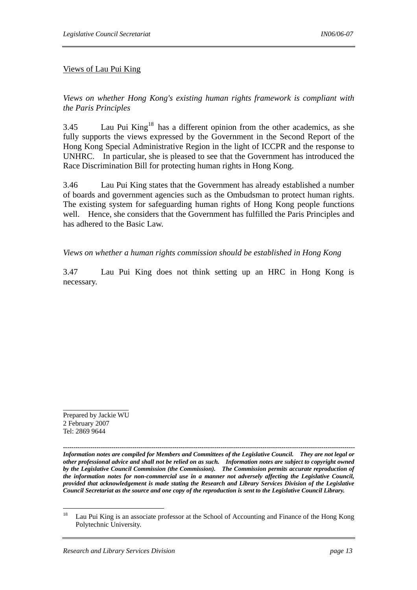#### Views of Lau Pui King

*Views on whether Hong Kong's existing human rights framework is compliant with the Paris Principles* 

3.45 Lau Pui King<sup>18</sup> has a different opinion from the other academics, as she fully supports the views expressed by the Government in the Second Report of the Hong Kong Special Administrative Region in the light of ICCPR and the response to UNHRC. In particular, she is pleased to see that the Government has introduced the Race Discrimination Bill for protecting human rights in Hong Kong.

3.46 Lau Pui King states that the Government has already established a number of boards and government agencies such as the Ombudsman to protect human rights. The existing system for safeguarding human rights of Hong Kong people functions well. Hence, she considers that the Government has fulfilled the Paris Principles and has adhered to the Basic Law.

#### *Views on whether a human rights commission should be established in Hong Kong*

3.47 Lau Pui King does not think setting up an HRC in Hong Kong is necessary.

Prepared by Jackie WU 2 February 2007 Tel: 2869 9644

\_\_\_\_\_\_\_\_\_\_\_\_\_\_\_\_\_

*------------------------------------------------------------------------------------------------------------------------------------------- Information notes are compiled for Members and Committees of the Legislative Council. They are not legal or other professional advice and shall not be relied on as such. Information notes are subject to copyright owned by the Legislative Council Commission (the Commission). The Commission permits accurate reproduction of the information notes for non-commercial use in a manner not adversely affecting the Legislative Council, provided that acknowledgement is made stating the Research and Library Services Division of the Legislative Council Secretariat as the source and one copy of the reproduction is sent to the Legislative Council Library.*

 $18\,$ Lau Pui King is an associate professor at the School of Accounting and Finance of the Hong Kong Polytechnic University.